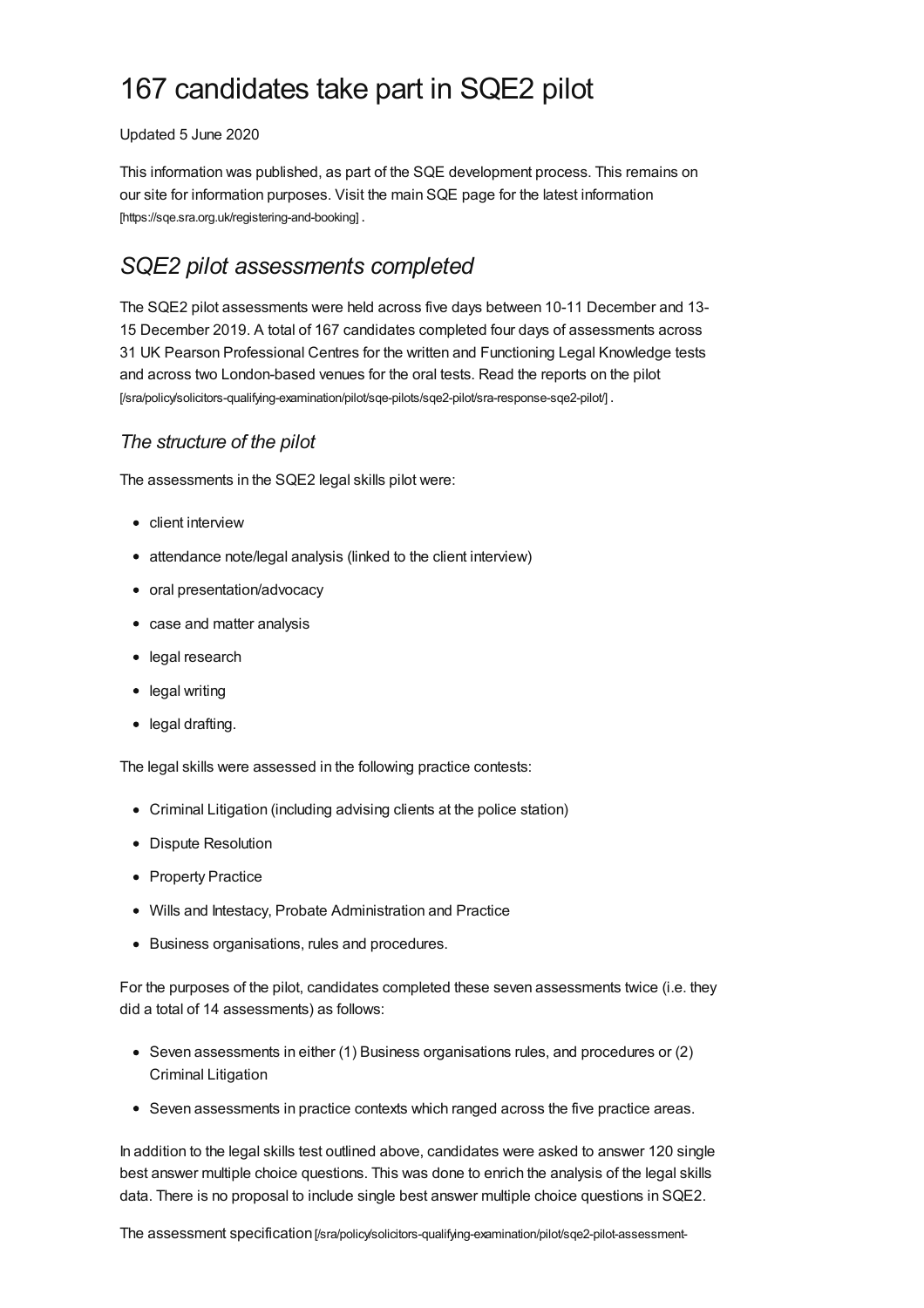# 167 candidates take part in SQE2 pilot

#### Updated 5 June 2020

This information was published, as part of the SQE development process. This remains on our site for information purposes. Visit the main SQE page for the latest information [\[https://sqe.sra.org.uk/registering-and-booking\]](https://sqe.sra.org.uk/registering-and-booking) .

# *SQE2 pilot assessments completed*

The SQE2 pilot assessments were held across five days between 10-11 December and 13- 15 December 2019. A total of 167 candidates completed four days of assessments across 31 UK Pearson Professional Centres for the written and Functioning Legal Knowledge tests and across two London-based venues for the oral tests. Read the reports on the pilot [\[/sra/policy/solicitors-qualifying-examination/pilot/sqe-pilots/sqe2-pilot/sra-response-sqe2-pilot/\]](https://www.sra.org.uk/sra/policy/solicitors-qualifying-examination/pilot/sqe-pilots/sqe2-pilot/sra-response-sqe2-pilot/) .

### *The structure of the pilot*

The assessments in the SQE2 legal skills pilot were:

- client interview
- attendance note/legal analysis (linked to the client interview)
- oral presentation/advocacy
- case and matter analysis
- legal research
- legal writing
- legal drafting.

The legal skills were assessed in the following practice contests:

- Criminal Litigation (including advising clients at the police station)
- Dispute Resolution
- Property Practice
- Wills and Intestacy, Probate Administration and Practice
- Business organisations, rules and procedures.

For the purposes of the pilot, candidates completed these seven assessments twice (i.e. they did a total of 14 assessments) as follows:

- Seven assessments in either (1) Business organisations rules, and procedures or (2) Criminal Litigation
- Seven assessments in practice contexts which ranged across the five practice areas.

In addition to the legal skills test outlined above, candidates were asked to answer 120 single best answer multiple choice questions. This was done to enrich the analysis of the legal skills data. There is no proposal to include single best answer multiple choice questions in SQE2.

The assessment specification [\[/sra/policy/solicitors-qualifying-examination/pilot/sqe2-pilot-assessment-](https://www.sra.org.uk/sra/policy/solicitors-qualifying-examination/pilot/sqe2-pilot-assessment-specification/)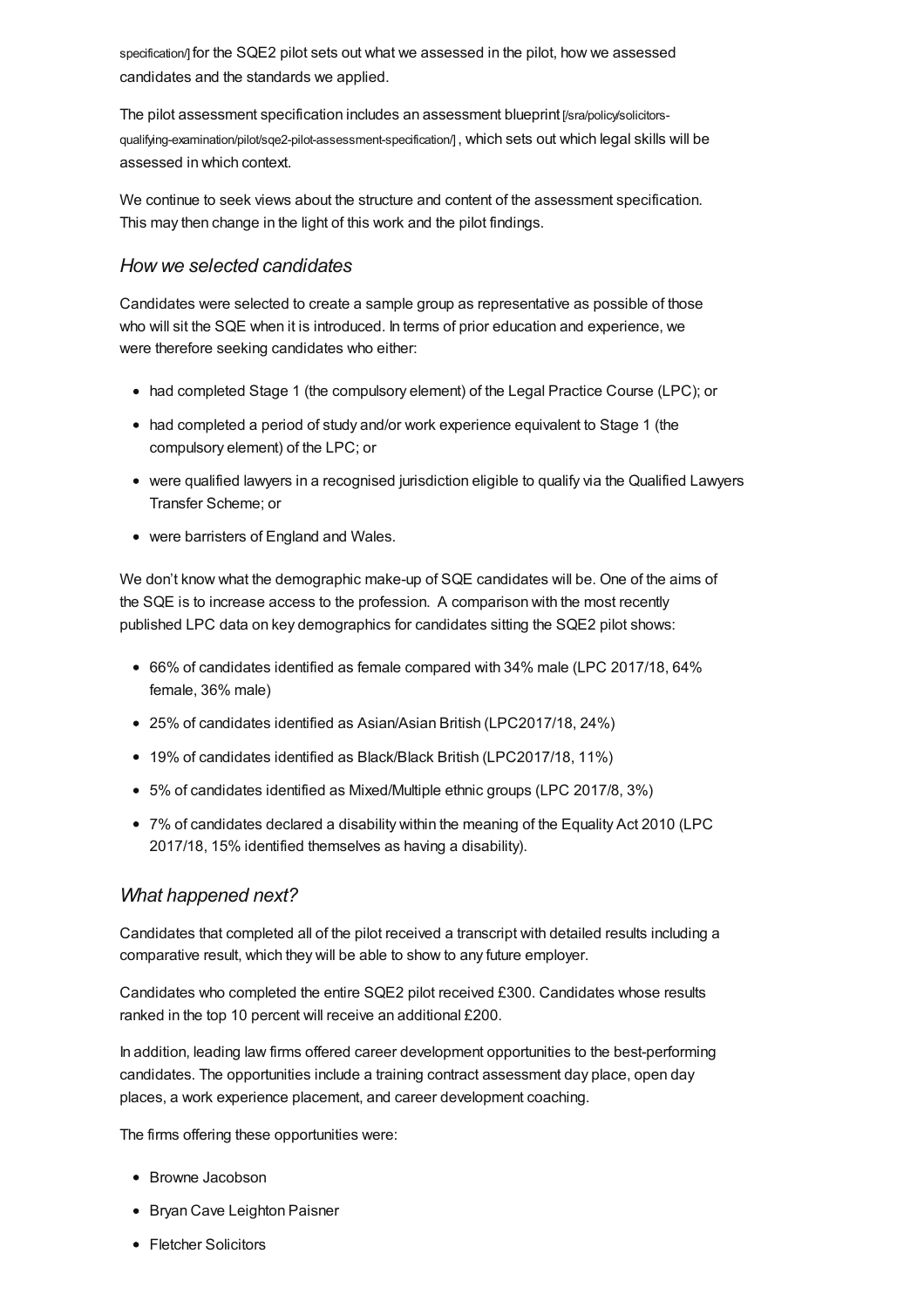specification/] for the SQE2 pilot sets out what we assessed in the pilot, how we assessed candidates and the standards we applied.

The pilot assessment specification includes an assessment blueprint [/sra/policy/solicitors[qualifying-examination/pilot/sqe2-pilot-assessment-specification/\]](https://www.sra.org.uk/sra/policy/solicitors-qualifying-examination/pilot/sqe2-pilot-assessment-specification/), which sets out which legal skills will be assessed in which context.

We continue to seek views about the structure and content of the assessment specification. This may then change in the light of this work and the pilot findings.

#### *How we selected candidates*

Candidates were selected to create a sample group as representative as possible of those who will sit the SQE when it is introduced. In terms of prior education and experience, we were therefore seeking candidates who either:

- had completed Stage 1 (the compulsory element) of the Legal Practice Course (LPC); or
- had completed a period of study and/or work experience equivalent to Stage 1 (the compulsory element) of the LPC; or
- were qualified lawyers in a recognised jurisdiction eligible to qualify via the Qualified Lawyers Transfer Scheme; or
- were barristers of England and Wales.

We don't know what the demographic make-up of SQE candidates will be. One of the aims of the SQE is to increase access to the profession. A comparison with the most recently published LPC data on key demographics for candidates sitting the SQE2 pilot shows:

- 66% of candidates identified as female compared with 34% male (LPC 2017/18, 64% female, 36% male)
- 25% of candidates identified as Asian/Asian British (LPC2017/18, 24%)
- 19% of candidates identified as Black/Black British (LPC2017/18, 11%)
- 5% of candidates identified as Mixed/Multiple ethnic groups (LPC 2017/8, 3%)
- 7% of candidates declared a disability within the meaning of the Equality Act 2010 (LPC 2017/18, 15% identified themselves as having a disability).

#### *What happened next?*

Candidates that completed all of the pilot received a transcript with detailed results including a comparative result, which they will be able to show to any future employer.

Candidates who completed the entire SQE2 pilot received £300. Candidates whose results ranked in the top 10 percent will receive an additional £200.

In addition, leading law firms offered career development opportunities to the best-performing candidates. The opportunities include a training contract assessment day place, open day places, a work experience placement, and career development coaching.

The firms offering these opportunities were:

- Browne Jacobson
- Bryan Cave Leighton Paisner
- Fletcher Solicitors